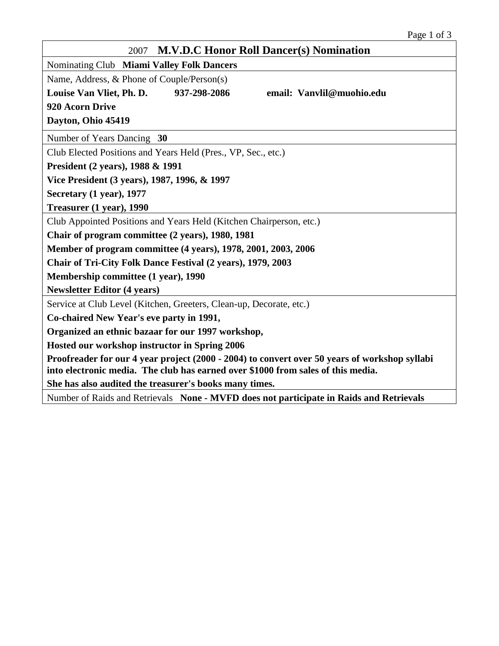| <b>M.V.D.C Honor Roll Dancer(s) Nomination</b><br>2007                                                                                                                            |  |  |  |  |
|-----------------------------------------------------------------------------------------------------------------------------------------------------------------------------------|--|--|--|--|
| Nominating Club Miami Valley Folk Dancers                                                                                                                                         |  |  |  |  |
| Name, Address, & Phone of Couple/Person(s)                                                                                                                                        |  |  |  |  |
| email: Vanvlil@muohio.edu<br>Louise Van Vliet, Ph. D.<br>937-298-2086                                                                                                             |  |  |  |  |
| 920 Acorn Drive                                                                                                                                                                   |  |  |  |  |
| Dayton, Ohio 45419                                                                                                                                                                |  |  |  |  |
| Number of Years Dancing 30                                                                                                                                                        |  |  |  |  |
| Club Elected Positions and Years Held (Pres., VP, Sec., etc.)                                                                                                                     |  |  |  |  |
| President (2 years), 1988 & 1991                                                                                                                                                  |  |  |  |  |
| Vice President (3 years), 1987, 1996, & 1997                                                                                                                                      |  |  |  |  |
| Secretary (1 year), 1977                                                                                                                                                          |  |  |  |  |
| Treasurer (1 year), 1990                                                                                                                                                          |  |  |  |  |
| Club Appointed Positions and Years Held (Kitchen Chairperson, etc.)                                                                                                               |  |  |  |  |
| Chair of program committee (2 years), 1980, 1981                                                                                                                                  |  |  |  |  |
| Member of program committee (4 years), 1978, 2001, 2003, 2006                                                                                                                     |  |  |  |  |
| Chair of Tri-City Folk Dance Festival (2 years), 1979, 2003                                                                                                                       |  |  |  |  |
| Membership committee (1 year), 1990                                                                                                                                               |  |  |  |  |
| <b>Newsletter Editor (4 years)</b>                                                                                                                                                |  |  |  |  |
| Service at Club Level (Kitchen, Greeters, Clean-up, Decorate, etc.)                                                                                                               |  |  |  |  |
| Co-chaired New Year's eve party in 1991,                                                                                                                                          |  |  |  |  |
| Organized an ethnic bazaar for our 1997 workshop,                                                                                                                                 |  |  |  |  |
| Hosted our workshop instructor in Spring 2006                                                                                                                                     |  |  |  |  |
| Proofreader for our 4 year project (2000 - 2004) to convert over 50 years of workshop syllabi<br>into electronic media. The club has earned over \$1000 from sales of this media. |  |  |  |  |
| She has also audited the treasurer's books many times.                                                                                                                            |  |  |  |  |
| Number of Raids and Retrievals None - MVFD does not participate in Raids and Retrievals                                                                                           |  |  |  |  |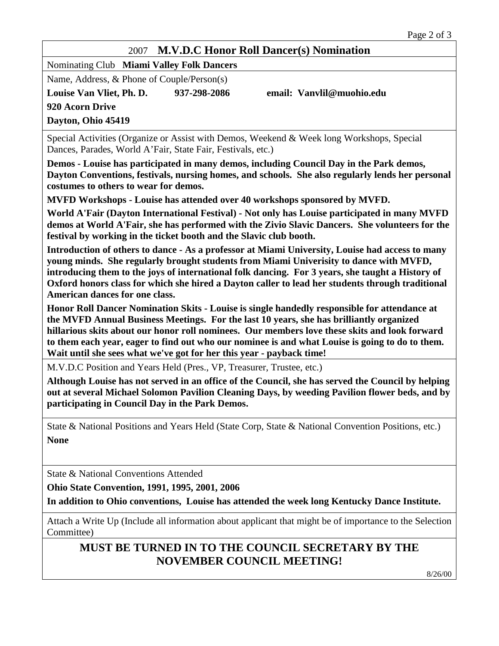## 2007 **M.V.D.C Honor Roll Dancer(s) Nomination**

Nominating Club **Miami Valley Folk Dancers**

Name, Address, & Phone of Couple/Person(s)

**Louise Van Vliet, Ph. D. 937-298-2086 email: Vanvlil@muohio.edu 920 Acorn Drive Dayton, Ohio 45419**

Special Activities (Organize or Assist with Demos, Weekend & Week long Workshops, Special Dances, Parades, World A'Fair, State Fair, Festivals, etc.)

**Demos - Louise has participated in many demos, including Council Day in the Park demos, Dayton Conventions, festivals, nursing homes, and schools. She also regularly lends her personal costumes to others to wear for demos.**

**MVFD Workshops - Louise has attended over 40 workshops sponsored by MVFD.**

**World A'Fair (Dayton International Festival) - Not only has Louise participated in many MVFD demos at World A'Fair, she has performed with the Zivio Slavic Dancers. She volunteers for the festival by working in the ticket booth and the Slavic club booth.**

**Introduction of others to dance - As a professor at Miami University, Louise had access to many young minds. She regularly brought students from Miami Univerisity to dance with MVFD, introducing them to the joys of international folk dancing. For 3 years, she taught a History of Oxford honors class for which she hired a Dayton caller to lead her students through traditional American dances for one class.**

**Honor Roll Dancer Nomination Skits - Louise is single handedly responsible for attendance at the MVFD Annual Business Meetings. For the last 10 years, she has brilliantly organized hillarious skits about our honor roll nominees. Our members love these skits and look forward to them each year, eager to find out who our nominee is and what Louise is going to do to them. Wait until she sees what we've got for her this year - payback time!**

M.V.D.C Position and Years Held (Pres., VP, Treasurer, Trustee, etc.)

**Although Louise has not served in an office of the Council, she has served the Council by helping out at several Michael Solomon Pavilion Cleaning Days, by weeding Pavilion flower beds, and by participating in Council Day in the Park Demos.**

State & National Positions and Years Held (State Corp, State & National Convention Positions, etc.) **None**

State & National Conventions Attended

**Ohio State Convention, 1991, 1995, 2001, 2006**

**In addition to Ohio conventions, Louise has attended the week long Kentucky Dance Institute.** 

Attach a Write Up (Include all information about applicant that might be of importance to the Selection Committee)

## **MUST BE TURNED IN TO THE COUNCIL SECRETARY BY THE NOVEMBER COUNCIL MEETING!**

8/26/00